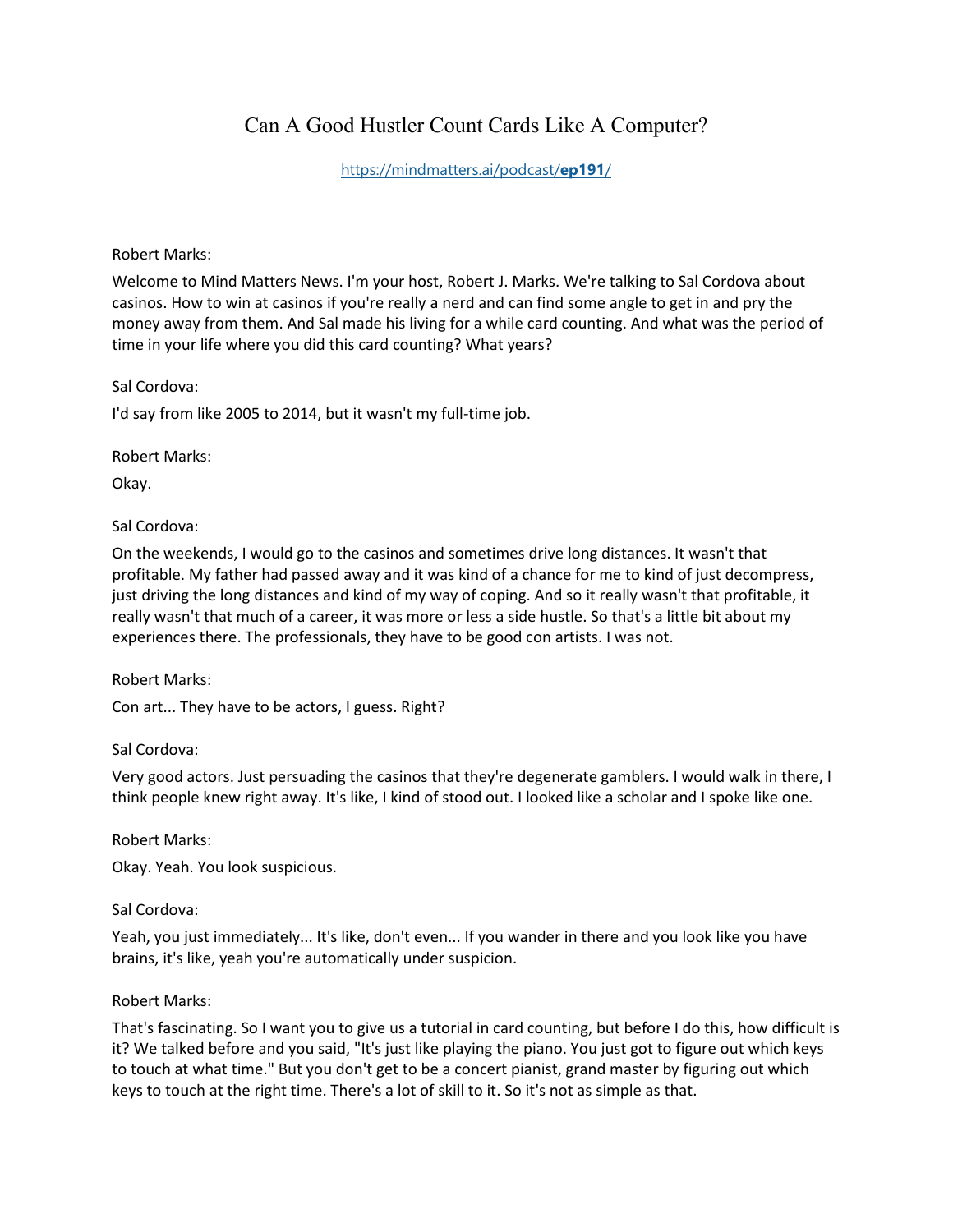# Can A Good Hustler Count Cards Like A Computer?

## [https://mindmatters.ai/podcast/](https://mindmatters.ai/podcast/ep191/)**ep191**/

#### Robert Marks:

Welcome to Mind Matters News. I'm your host, Robert J. Marks. We're talking to Sal Cordova about casinos. How to win at casinos if you're really a nerd and can find some angle to get in and pry the money away from them. And Sal made his living for a while card counting. And what was the period of time in your life where you did this card counting? What years?

Sal Cordova:

I'd say from like 2005 to 2014, but it wasn't my full-time job.

Robert Marks:

Okay.

#### Sal Cordova:

On the weekends, I would go to the casinos and sometimes drive long distances. It wasn't that profitable. My father had passed away and it was kind of a chance for me to kind of just decompress, just driving the long distances and kind of my way of coping. And so it really wasn't that profitable, it really wasn't that much of a career, it was more or less a side hustle. So that's a little bit about my experiences there. The professionals, they have to be good con artists. I was not.

#### Robert Marks:

Con art... They have to be actors, I guess. Right?

#### Sal Cordova:

Very good actors. Just persuading the casinos that they're degenerate gamblers. I would walk in there, I think people knew right away. It's like, I kind of stood out. I looked like a scholar and I spoke like one.

Robert Marks:

Okay. Yeah. You look suspicious.

#### Sal Cordova:

Yeah, you just immediately... It's like, don't even... If you wander in there and you look like you have brains, it's like, yeah you're automatically under suspicion.

#### Robert Marks:

That's fascinating. So I want you to give us a tutorial in card counting, but before I do this, how difficult is it? We talked before and you said, "It's just like playing the piano. You just got to figure out which keys to touch at what time." But you don't get to be a concert pianist, grand master by figuring out which keys to touch at the right time. There's a lot of skill to it. So it's not as simple as that.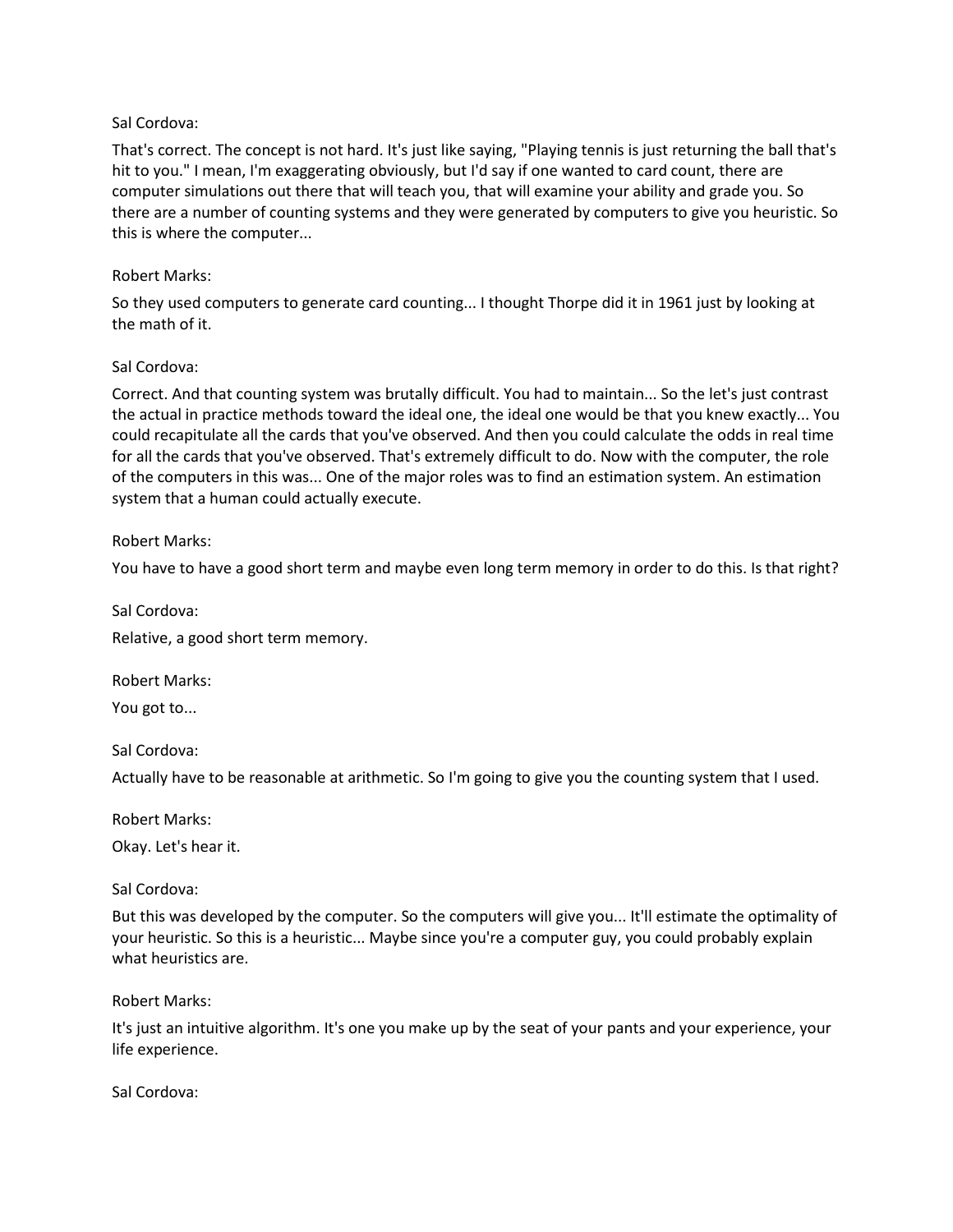That's correct. The concept is not hard. It's just like saying, "Playing tennis is just returning the ball that's hit to you." I mean, I'm exaggerating obviously, but I'd say if one wanted to card count, there are computer simulations out there that will teach you, that will examine your ability and grade you. So there are a number of counting systems and they were generated by computers to give you heuristic. So this is where the computer...

## Robert Marks:

So they used computers to generate card counting... I thought Thorpe did it in 1961 just by looking at the math of it.

## Sal Cordova:

Correct. And that counting system was brutally difficult. You had to maintain... So the let's just contrast the actual in practice methods toward the ideal one, the ideal one would be that you knew exactly... You could recapitulate all the cards that you've observed. And then you could calculate the odds in real time for all the cards that you've observed. That's extremely difficult to do. Now with the computer, the role of the computers in this was... One of the major roles was to find an estimation system. An estimation system that a human could actually execute.

## Robert Marks:

You have to have a good short term and maybe even long term memory in order to do this. Is that right?

Sal Cordova:

Relative, a good short term memory.

Robert Marks:

You got to...

Sal Cordova:

Actually have to be reasonable at arithmetic. So I'm going to give you the counting system that I used.

Robert Marks:

Okay. Let's hear it.

Sal Cordova:

But this was developed by the computer. So the computers will give you... It'll estimate the optimality of your heuristic. So this is a heuristic... Maybe since you're a computer guy, you could probably explain what heuristics are.

Robert Marks:

It's just an intuitive algorithm. It's one you make up by the seat of your pants and your experience, your life experience.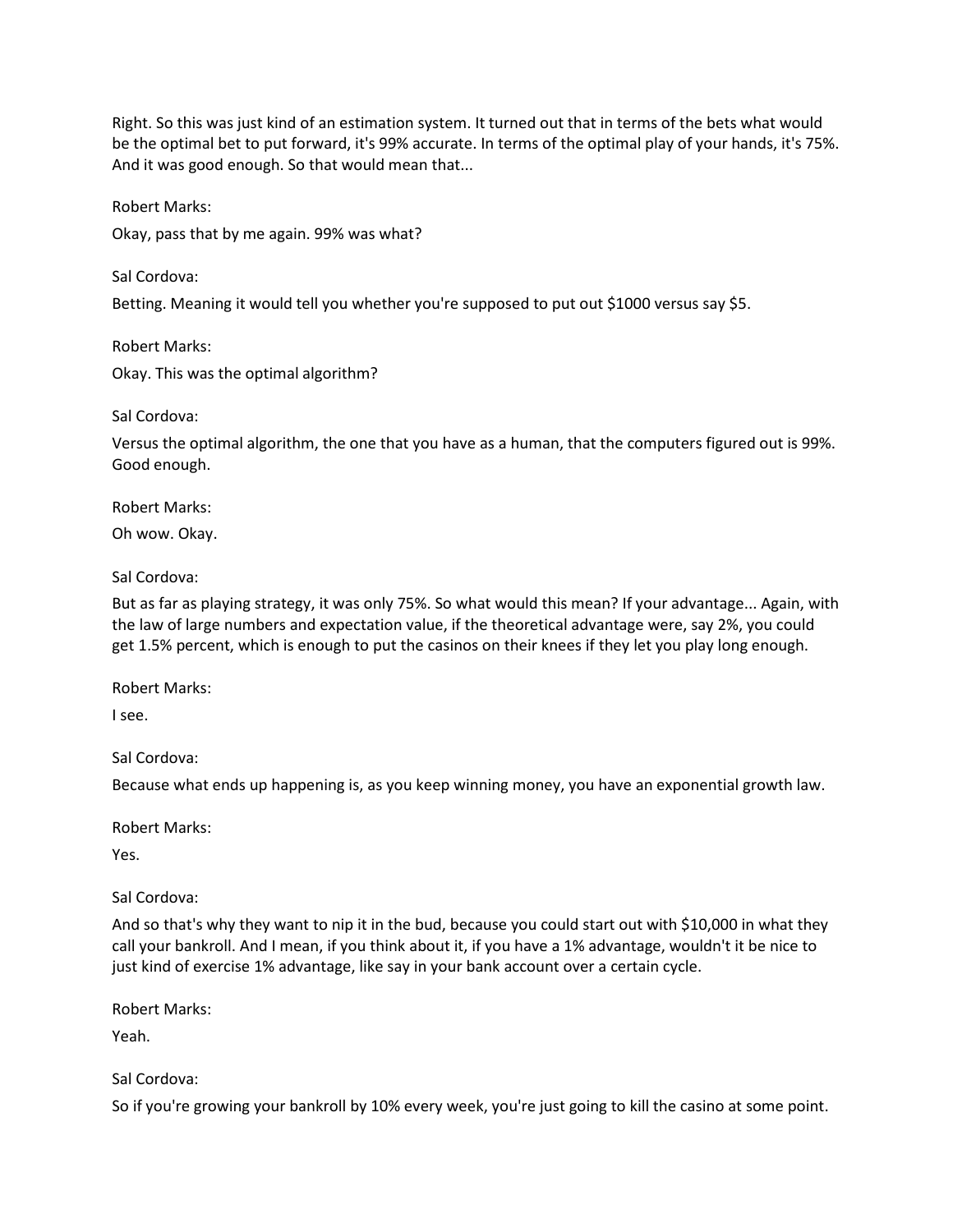Right. So this was just kind of an estimation system. It turned out that in terms of the bets what would be the optimal bet to put forward, it's 99% accurate. In terms of the optimal play of your hands, it's 75%. And it was good enough. So that would mean that...

Robert Marks: Okay, pass that by me again. 99% was what?

Sal Cordova: Betting. Meaning it would tell you whether you're supposed to put out \$1000 versus say \$5.

Robert Marks: Okay. This was the optimal algorithm?

Sal Cordova:

Versus the optimal algorithm, the one that you have as a human, that the computers figured out is 99%. Good enough.

Robert Marks:

Oh wow. Okay.

# Sal Cordova:

But as far as playing strategy, it was only 75%. So what would this mean? If your advantage... Again, with the law of large numbers and expectation value, if the theoretical advantage were, say 2%, you could get 1.5% percent, which is enough to put the casinos on their knees if they let you play long enough.

Robert Marks:

I see.

Sal Cordova:

Because what ends up happening is, as you keep winning money, you have an exponential growth law.

Robert Marks:

Yes.

Sal Cordova:

And so that's why they want to nip it in the bud, because you could start out with \$10,000 in what they call your bankroll. And I mean, if you think about it, if you have a 1% advantage, wouldn't it be nice to just kind of exercise 1% advantage, like say in your bank account over a certain cycle.

Robert Marks:

Yeah.

# Sal Cordova:

So if you're growing your bankroll by 10% every week, you're just going to kill the casino at some point.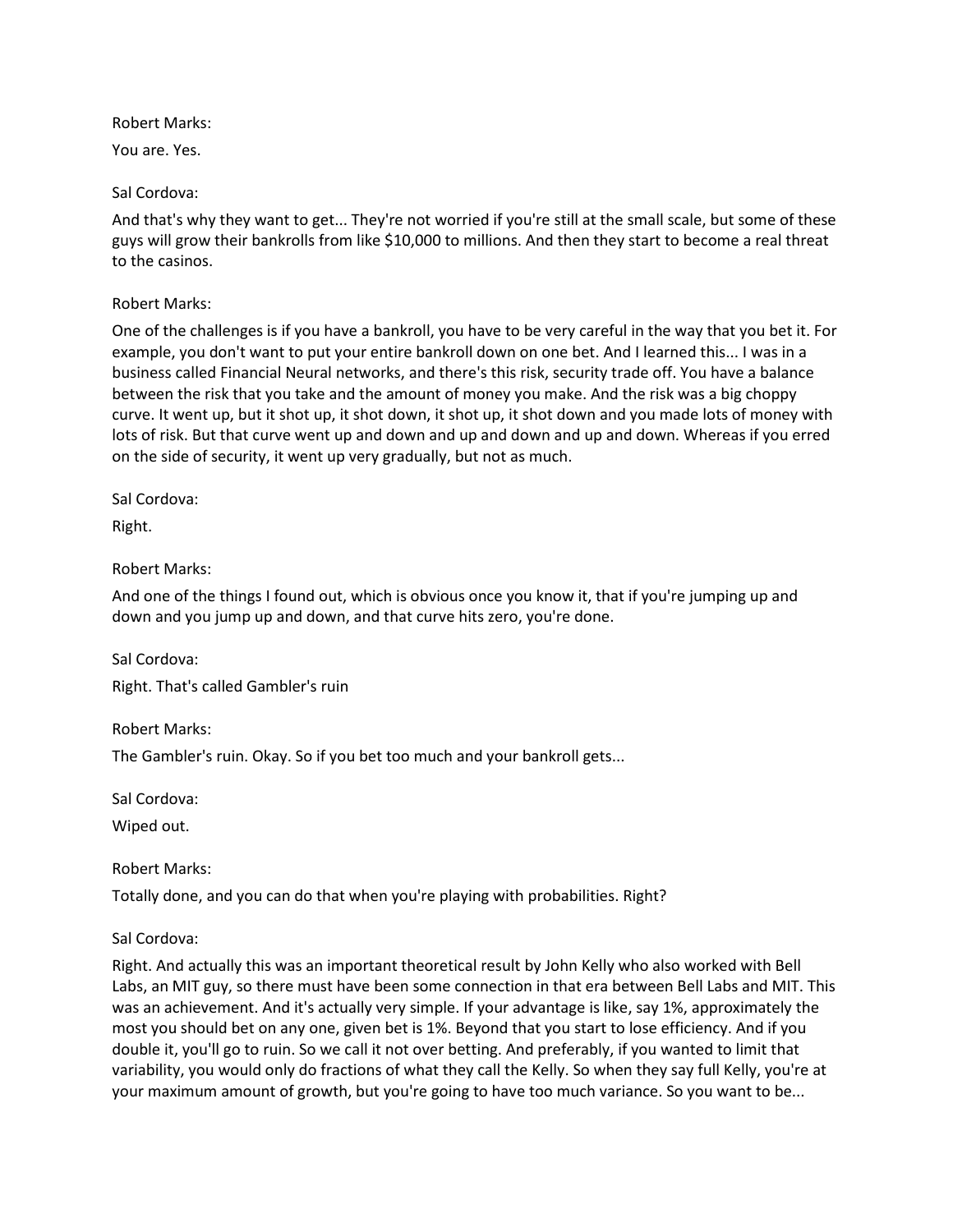Robert Marks:

You are. Yes.

Sal Cordova:

And that's why they want to get... They're not worried if you're still at the small scale, but some of these guys will grow their bankrolls from like \$10,000 to millions. And then they start to become a real threat to the casinos.

## Robert Marks:

One of the challenges is if you have a bankroll, you have to be very careful in the way that you bet it. For example, you don't want to put your entire bankroll down on one bet. And I learned this... I was in a business called Financial Neural networks, and there's this risk, security trade off. You have a balance between the risk that you take and the amount of money you make. And the risk was a big choppy curve. It went up, but it shot up, it shot down, it shot up, it shot down and you made lots of money with lots of risk. But that curve went up and down and up and down and up and down. Whereas if you erred on the side of security, it went up very gradually, but not as much.

Sal Cordova:

Right.

## Robert Marks:

And one of the things I found out, which is obvious once you know it, that if you're jumping up and down and you jump up and down, and that curve hits zero, you're done.

Sal Cordova: Right. That's called Gambler's ruin

Robert Marks:

The Gambler's ruin. Okay. So if you bet too much and your bankroll gets...

Sal Cordova:

Wiped out.

Robert Marks:

Totally done, and you can do that when you're playing with probabilities. Right?

Sal Cordova:

Right. And actually this was an important theoretical result by John Kelly who also worked with Bell Labs, an MIT guy, so there must have been some connection in that era between Bell Labs and MIT. This was an achievement. And it's actually very simple. If your advantage is like, say 1%, approximately the most you should bet on any one, given bet is 1%. Beyond that you start to lose efficiency. And if you double it, you'll go to ruin. So we call it not over betting. And preferably, if you wanted to limit that variability, you would only do fractions of what they call the Kelly. So when they say full Kelly, you're at your maximum amount of growth, but you're going to have too much variance. So you want to be...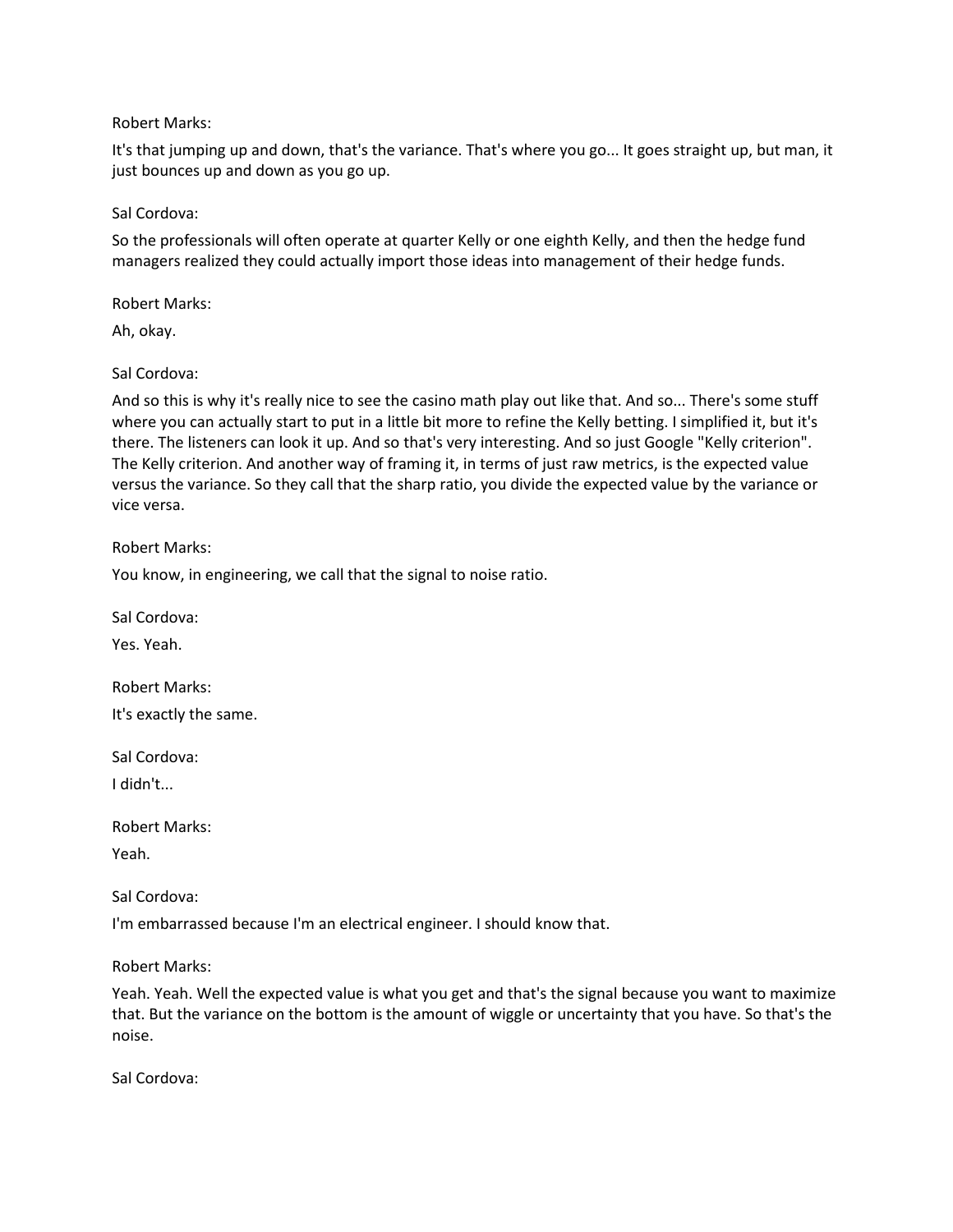#### Robert Marks:

It's that jumping up and down, that's the variance. That's where you go... It goes straight up, but man, it just bounces up and down as you go up.

## Sal Cordova:

So the professionals will often operate at quarter Kelly or one eighth Kelly, and then the hedge fund managers realized they could actually import those ideas into management of their hedge funds.

Robert Marks:

Ah, okay.

## Sal Cordova:

And so this is why it's really nice to see the casino math play out like that. And so... There's some stuff where you can actually start to put in a little bit more to refine the Kelly betting. I simplified it, but it's there. The listeners can look it up. And so that's very interesting. And so just Google "Kelly criterion". The Kelly criterion. And another way of framing it, in terms of just raw metrics, is the expected value versus the variance. So they call that the sharp ratio, you divide the expected value by the variance or vice versa.

Robert Marks:

You know, in engineering, we call that the signal to noise ratio.

Sal Cordova:

Yes. Yeah.

Robert Marks: It's exactly the same.

Sal Cordova:

I didn't...

Robert Marks:

Yeah.

Sal Cordova:

I'm embarrassed because I'm an electrical engineer. I should know that.

Robert Marks:

Yeah. Yeah. Well the expected value is what you get and that's the signal because you want to maximize that. But the variance on the bottom is the amount of wiggle or uncertainty that you have. So that's the noise.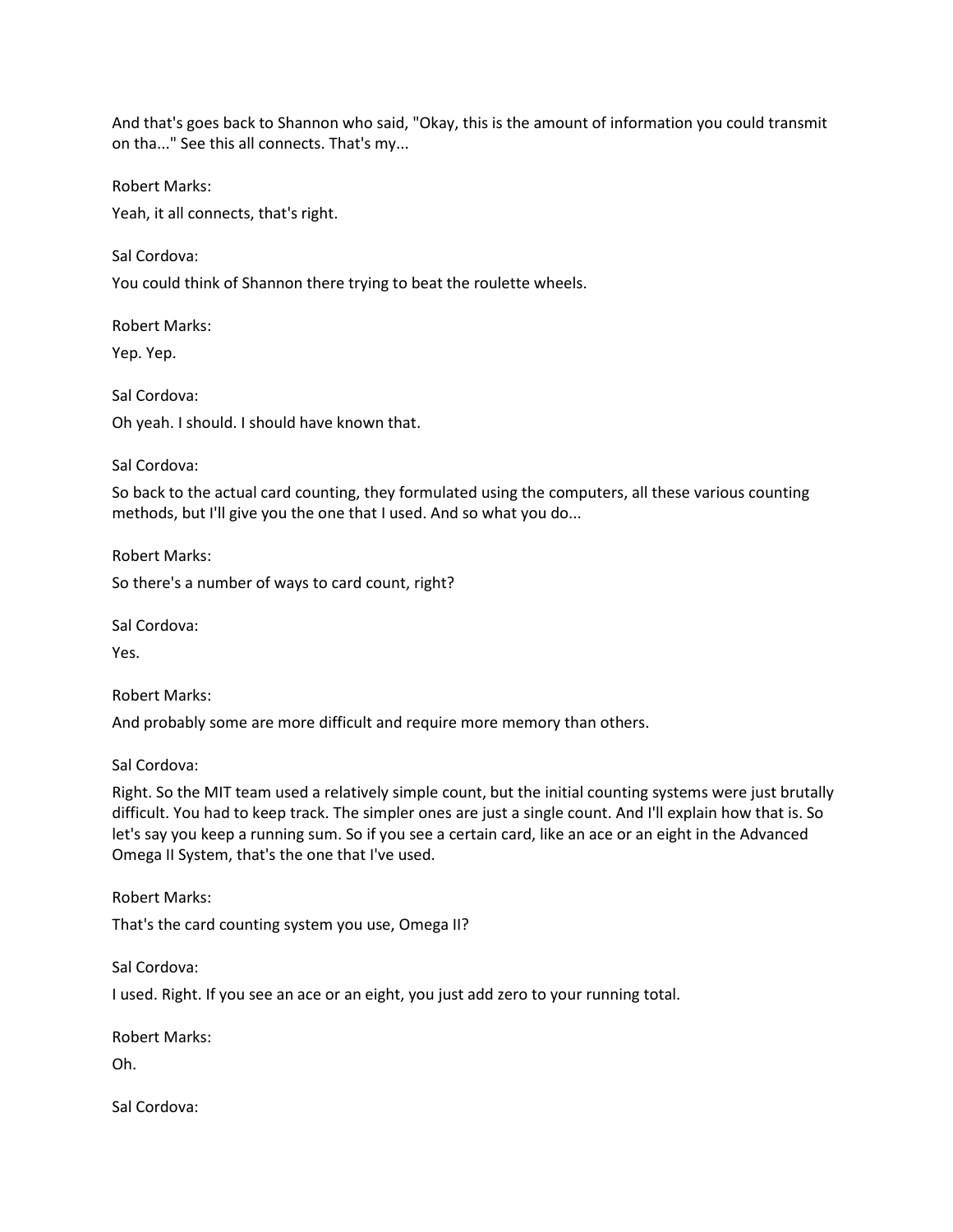And that's goes back to Shannon who said, "Okay, this is the amount of information you could transmit on tha..." See this all connects. That's my...

Robert Marks:

Yeah, it all connects, that's right.

Sal Cordova:

You could think of Shannon there trying to beat the roulette wheels.

Robert Marks:

Yep. Yep.

Sal Cordova: Oh yeah. I should. I should have known that.

Sal Cordova:

So back to the actual card counting, they formulated using the computers, all these various counting methods, but I'll give you the one that I used. And so what you do...

Robert Marks: So there's a number of ways to card count, right?

Sal Cordova:

Yes.

Robert Marks:

And probably some are more difficult and require more memory than others.

Sal Cordova:

Right. So the MIT team used a relatively simple count, but the initial counting systems were just brutally difficult. You had to keep track. The simpler ones are just a single count. And I'll explain how that is. So let's say you keep a running sum. So if you see a certain card, like an ace or an eight in the Advanced Omega II System, that's the one that I've used.

Robert Marks:

That's the card counting system you use, Omega II?

Sal Cordova:

I used. Right. If you see an ace or an eight, you just add zero to your running total.

Robert Marks:

Oh.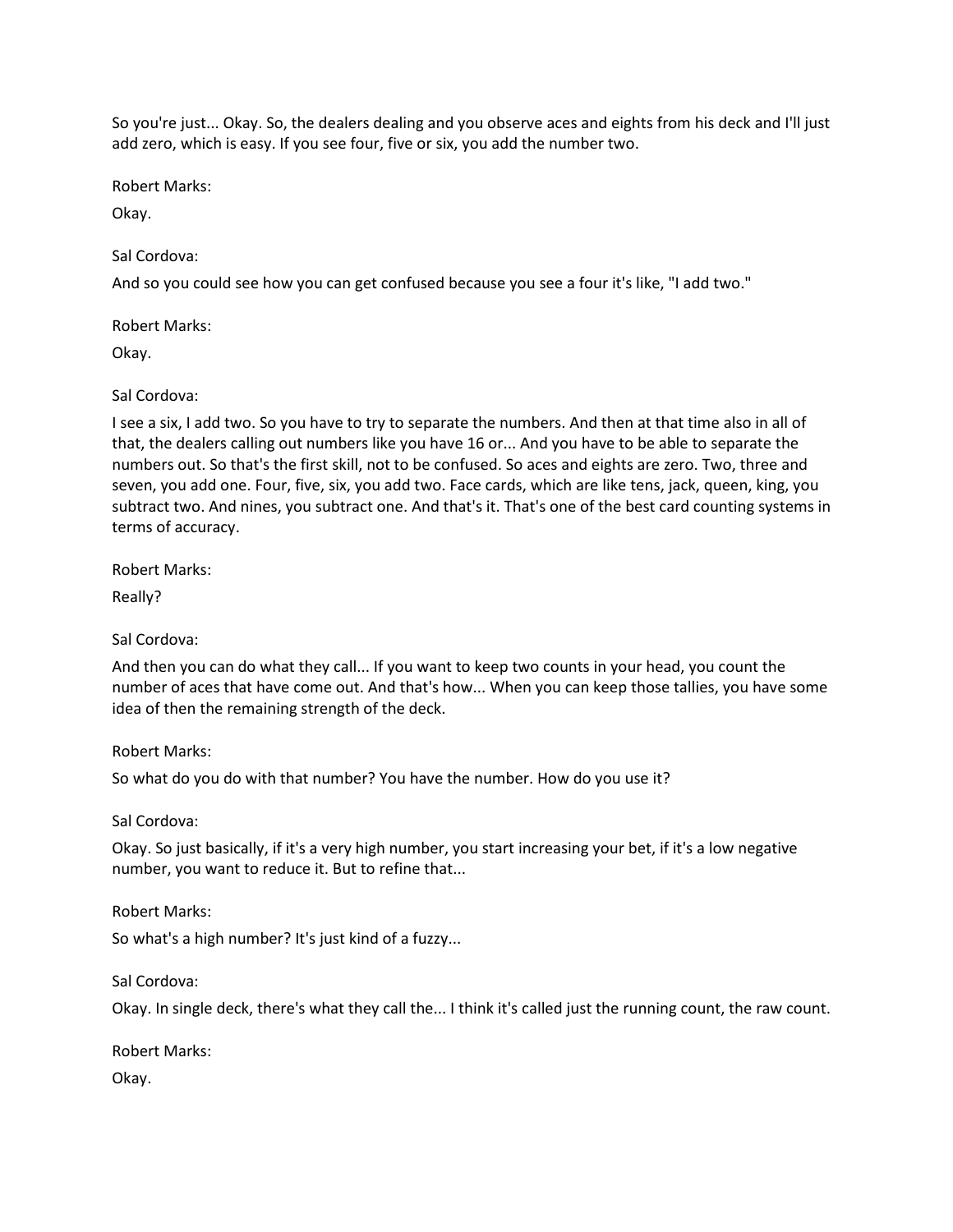So you're just... Okay. So, the dealers dealing and you observe aces and eights from his deck and I'll just add zero, which is easy. If you see four, five or six, you add the number two.

Robert Marks:

Okay.

Sal Cordova:

And so you could see how you can get confused because you see a four it's like, "I add two."

Robert Marks:

Okay.

Sal Cordova:

I see a six, I add two. So you have to try to separate the numbers. And then at that time also in all of that, the dealers calling out numbers like you have 16 or... And you have to be able to separate the numbers out. So that's the first skill, not to be confused. So aces and eights are zero. Two, three and seven, you add one. Four, five, six, you add two. Face cards, which are like tens, jack, queen, king, you subtract two. And nines, you subtract one. And that's it. That's one of the best card counting systems in terms of accuracy.

Robert Marks:

Really?

Sal Cordova:

And then you can do what they call... If you want to keep two counts in your head, you count the number of aces that have come out. And that's how... When you can keep those tallies, you have some idea of then the remaining strength of the deck.

Robert Marks:

So what do you do with that number? You have the number. How do you use it?

Sal Cordova:

Okay. So just basically, if it's a very high number, you start increasing your bet, if it's a low negative number, you want to reduce it. But to refine that...

Robert Marks:

So what's a high number? It's just kind of a fuzzy...

Sal Cordova:

Okay. In single deck, there's what they call the... I think it's called just the running count, the raw count.

Robert Marks:

Okay.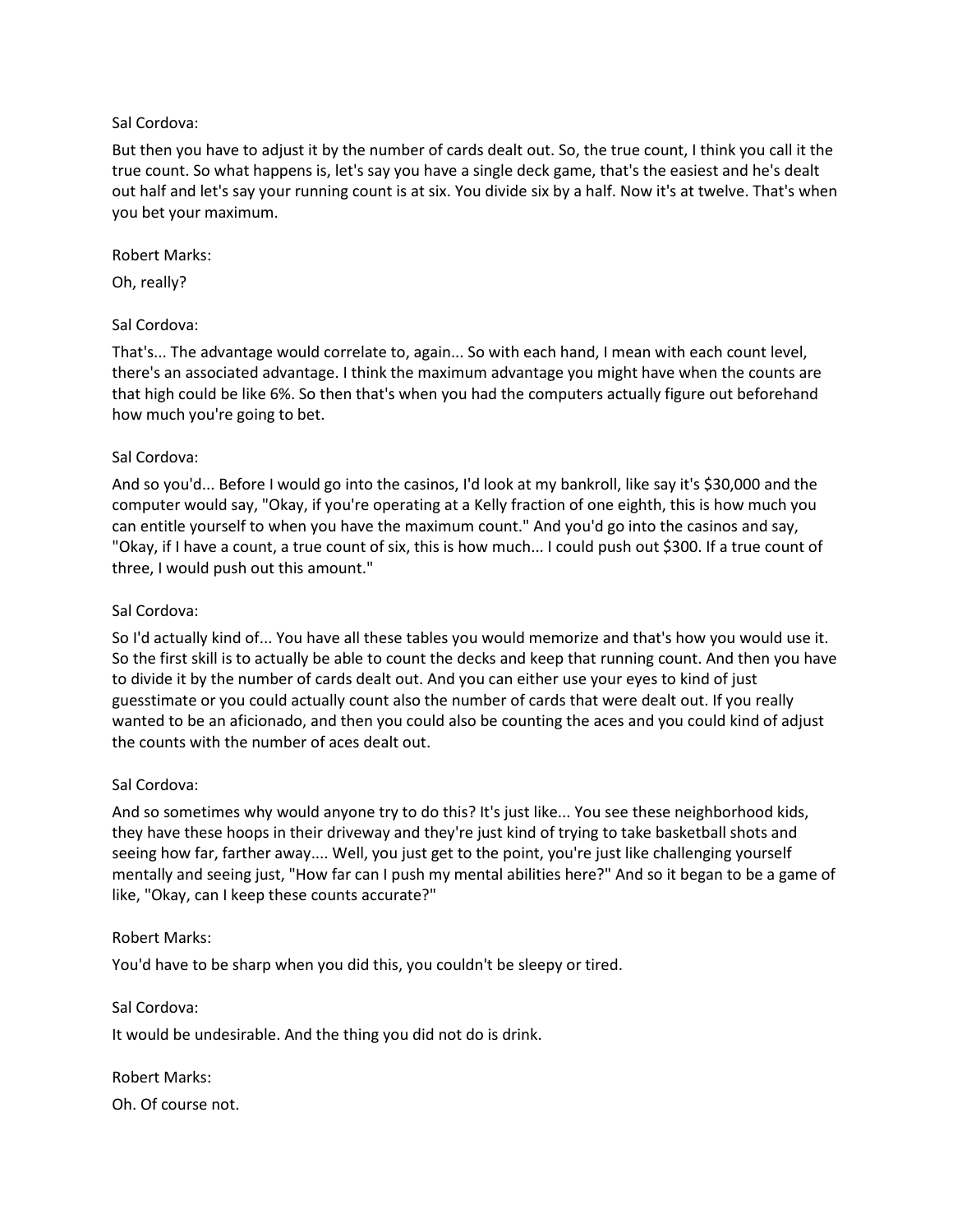But then you have to adjust it by the number of cards dealt out. So, the true count, I think you call it the true count. So what happens is, let's say you have a single deck game, that's the easiest and he's dealt out half and let's say your running count is at six. You divide six by a half. Now it's at twelve. That's when you bet your maximum.

#### Robert Marks:

Oh, really?

## Sal Cordova:

That's... The advantage would correlate to, again... So with each hand, I mean with each count level, there's an associated advantage. I think the maximum advantage you might have when the counts are that high could be like 6%. So then that's when you had the computers actually figure out beforehand how much you're going to bet.

#### Sal Cordova:

And so you'd... Before I would go into the casinos, I'd look at my bankroll, like say it's \$30,000 and the computer would say, "Okay, if you're operating at a Kelly fraction of one eighth, this is how much you can entitle yourself to when you have the maximum count." And you'd go into the casinos and say, "Okay, if I have a count, a true count of six, this is how much... I could push out \$300. If a true count of three, I would push out this amount."

#### Sal Cordova:

So I'd actually kind of... You have all these tables you would memorize and that's how you would use it. So the first skill is to actually be able to count the decks and keep that running count. And then you have to divide it by the number of cards dealt out. And you can either use your eyes to kind of just guesstimate or you could actually count also the number of cards that were dealt out. If you really wanted to be an aficionado, and then you could also be counting the aces and you could kind of adjust the counts with the number of aces dealt out.

#### Sal Cordova:

And so sometimes why would anyone try to do this? It's just like... You see these neighborhood kids, they have these hoops in their driveway and they're just kind of trying to take basketball shots and seeing how far, farther away.... Well, you just get to the point, you're just like challenging yourself mentally and seeing just, "How far can I push my mental abilities here?" And so it began to be a game of like, "Okay, can I keep these counts accurate?"

#### Robert Marks:

You'd have to be sharp when you did this, you couldn't be sleepy or tired.

Sal Cordova:

It would be undesirable. And the thing you did not do is drink.

#### Robert Marks:

Oh. Of course not.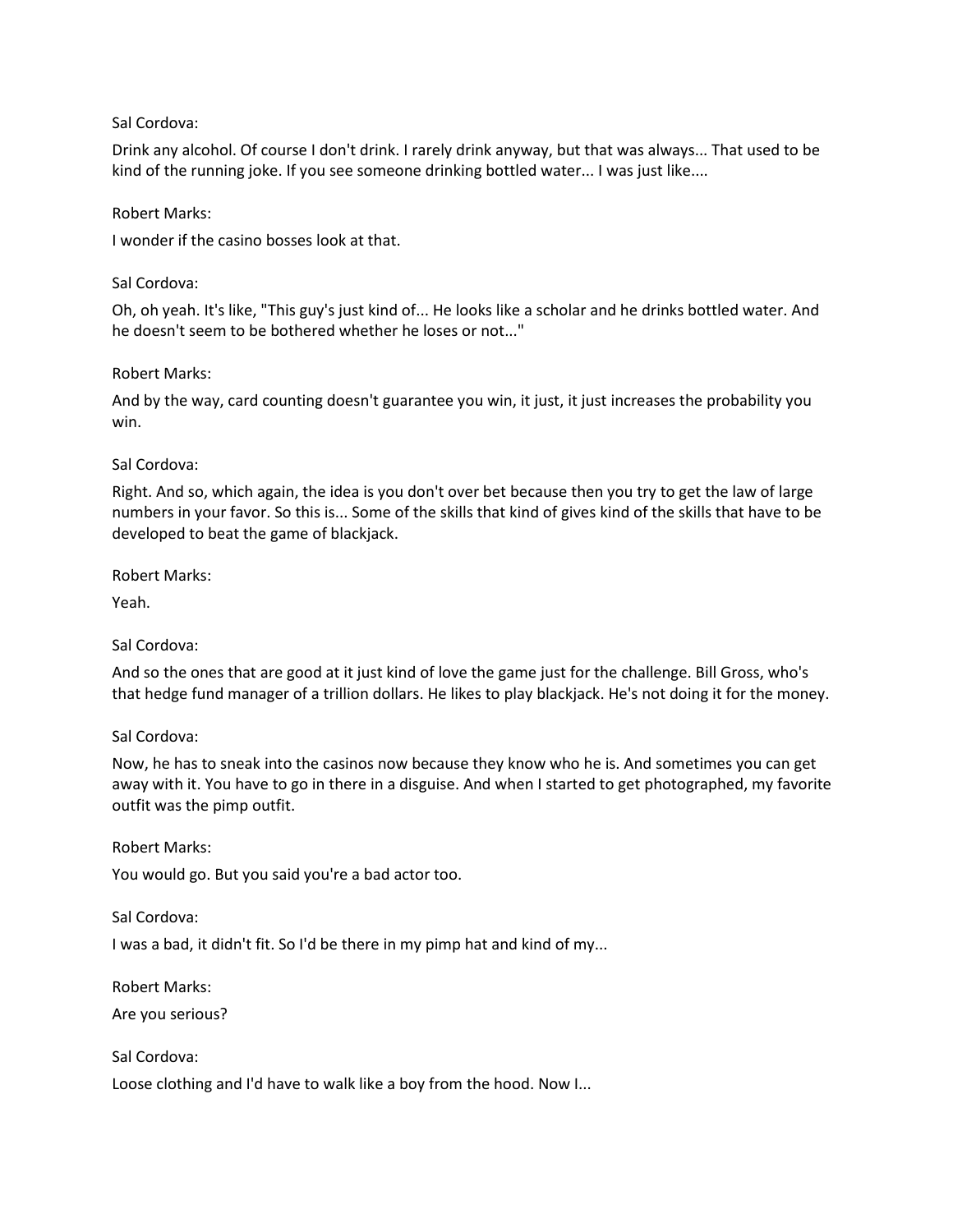Drink any alcohol. Of course I don't drink. I rarely drink anyway, but that was always... That used to be kind of the running joke. If you see someone drinking bottled water... I was just like....

#### Robert Marks:

I wonder if the casino bosses look at that.

#### Sal Cordova:

Oh, oh yeah. It's like, "This guy's just kind of... He looks like a scholar and he drinks bottled water. And he doesn't seem to be bothered whether he loses or not..."

## Robert Marks:

And by the way, card counting doesn't guarantee you win, it just, it just increases the probability you win.

## Sal Cordova:

Right. And so, which again, the idea is you don't over bet because then you try to get the law of large numbers in your favor. So this is... Some of the skills that kind of gives kind of the skills that have to be developed to beat the game of blackjack.

## Robert Marks:

Yeah.

# Sal Cordova:

And so the ones that are good at it just kind of love the game just for the challenge. Bill Gross, who's that hedge fund manager of a trillion dollars. He likes to play blackjack. He's not doing it for the money.

# Sal Cordova:

Now, he has to sneak into the casinos now because they know who he is. And sometimes you can get away with it. You have to go in there in a disguise. And when I started to get photographed, my favorite outfit was the pimp outfit.

#### Robert Marks:

You would go. But you said you're a bad actor too.

#### Sal Cordova:

I was a bad, it didn't fit. So I'd be there in my pimp hat and kind of my...

Robert Marks:

Are you serious?

Sal Cordova:

Loose clothing and I'd have to walk like a boy from the hood. Now I...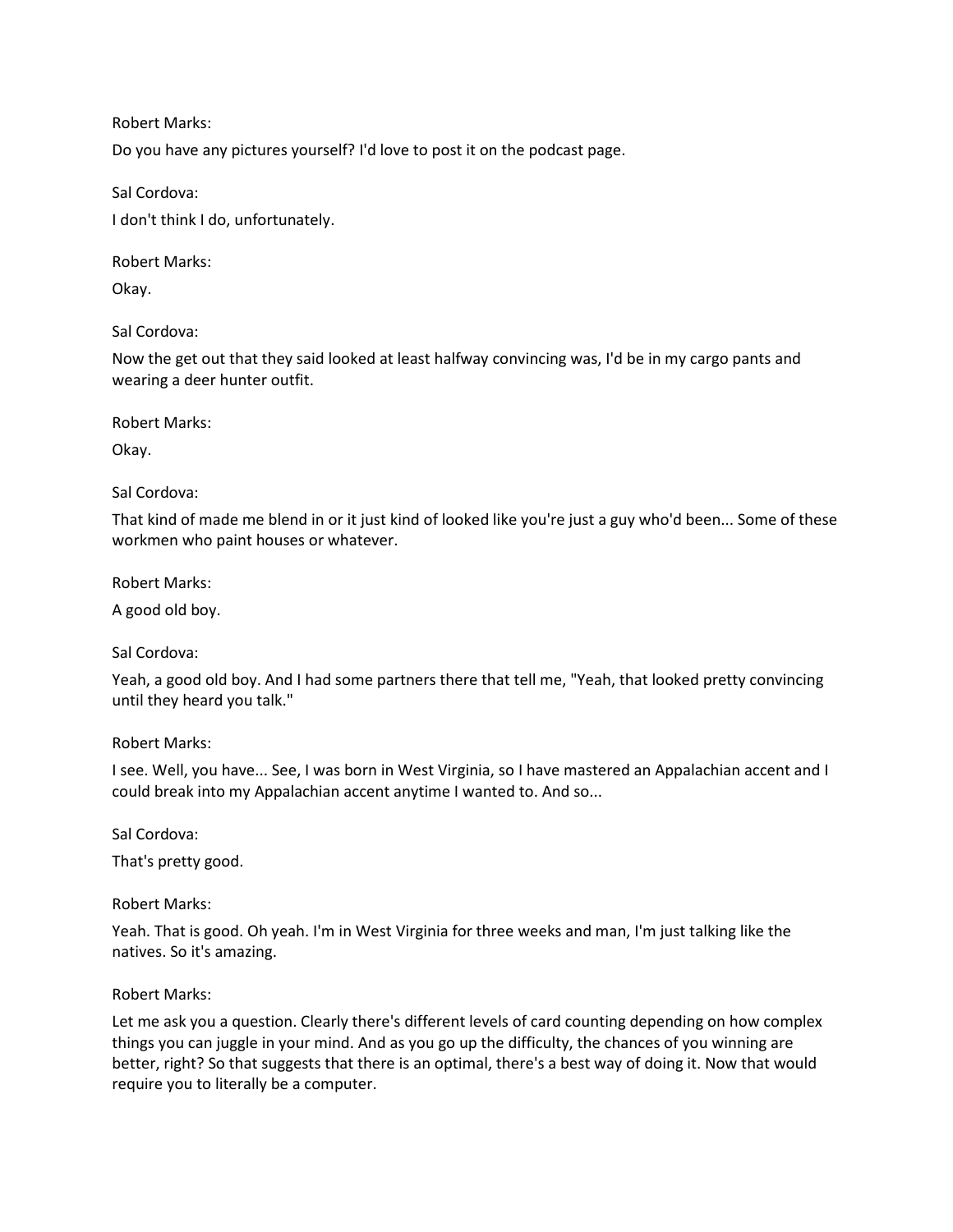Robert Marks:

Do you have any pictures yourself? I'd love to post it on the podcast page.

Sal Cordova: I don't think I do, unfortunately.

Robert Marks:

Okay.

Sal Cordova:

Now the get out that they said looked at least halfway convincing was, I'd be in my cargo pants and wearing a deer hunter outfit.

Robert Marks:

Okay.

#### Sal Cordova:

That kind of made me blend in or it just kind of looked like you're just a guy who'd been... Some of these workmen who paint houses or whatever.

Robert Marks:

A good old boy.

Sal Cordova:

Yeah, a good old boy. And I had some partners there that tell me, "Yeah, that looked pretty convincing until they heard you talk."

Robert Marks:

I see. Well, you have... See, I was born in West Virginia, so I have mastered an Appalachian accent and I could break into my Appalachian accent anytime I wanted to. And so...

Sal Cordova:

That's pretty good.

Robert Marks:

Yeah. That is good. Oh yeah. I'm in West Virginia for three weeks and man, I'm just talking like the natives. So it's amazing.

Robert Marks:

Let me ask you a question. Clearly there's different levels of card counting depending on how complex things you can juggle in your mind. And as you go up the difficulty, the chances of you winning are better, right? So that suggests that there is an optimal, there's a best way of doing it. Now that would require you to literally be a computer.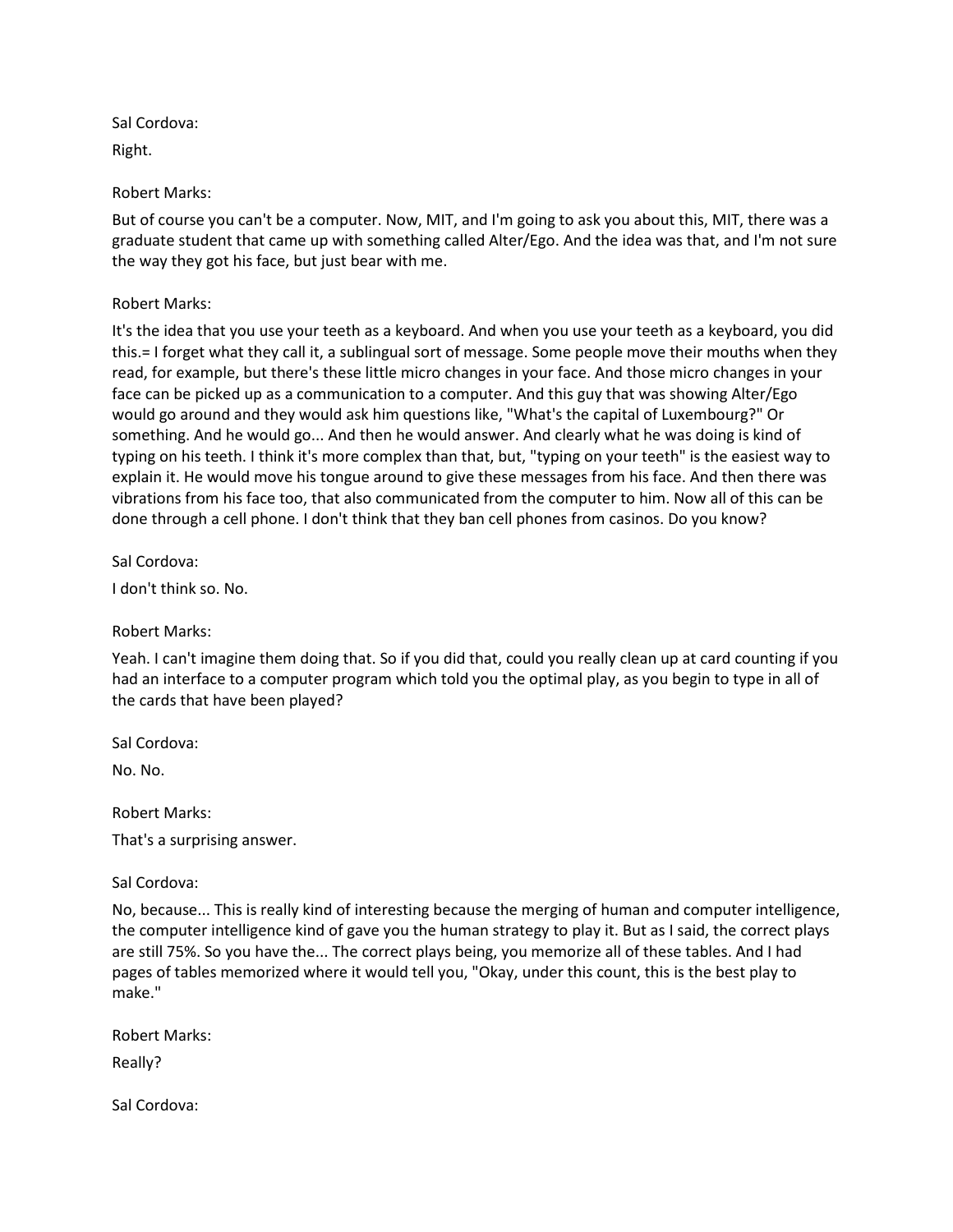Right.

Robert Marks:

But of course you can't be a computer. Now, MIT, and I'm going to ask you about this, MIT, there was a graduate student that came up with something called Alter/Ego. And the idea was that, and I'm not sure the way they got his face, but just bear with me.

# Robert Marks:

It's the idea that you use your teeth as a keyboard. And when you use your teeth as a keyboard, you did this.= I forget what they call it, a sublingual sort of message. Some people move their mouths when they read, for example, but there's these little micro changes in your face. And those micro changes in your face can be picked up as a communication to a computer. And this guy that was showing Alter/Ego would go around and they would ask him questions like, "What's the capital of Luxembourg?" Or something. And he would go... And then he would answer. And clearly what he was doing is kind of typing on his teeth. I think it's more complex than that, but, "typing on your teeth" is the easiest way to explain it. He would move his tongue around to give these messages from his face. And then there was vibrations from his face too, that also communicated from the computer to him. Now all of this can be done through a cell phone. I don't think that they ban cell phones from casinos. Do you know?

Sal Cordova:

I don't think so. No.

Robert Marks:

Yeah. I can't imagine them doing that. So if you did that, could you really clean up at card counting if you had an interface to a computer program which told you the optimal play, as you begin to type in all of the cards that have been played?

Sal Cordova:

No. No.

Robert Marks:

That's a surprising answer.

Sal Cordova:

No, because... This is really kind of interesting because the merging of human and computer intelligence, the computer intelligence kind of gave you the human strategy to play it. But as I said, the correct plays are still 75%. So you have the... The correct plays being, you memorize all of these tables. And I had pages of tables memorized where it would tell you, "Okay, under this count, this is the best play to make."

Robert Marks:

Really?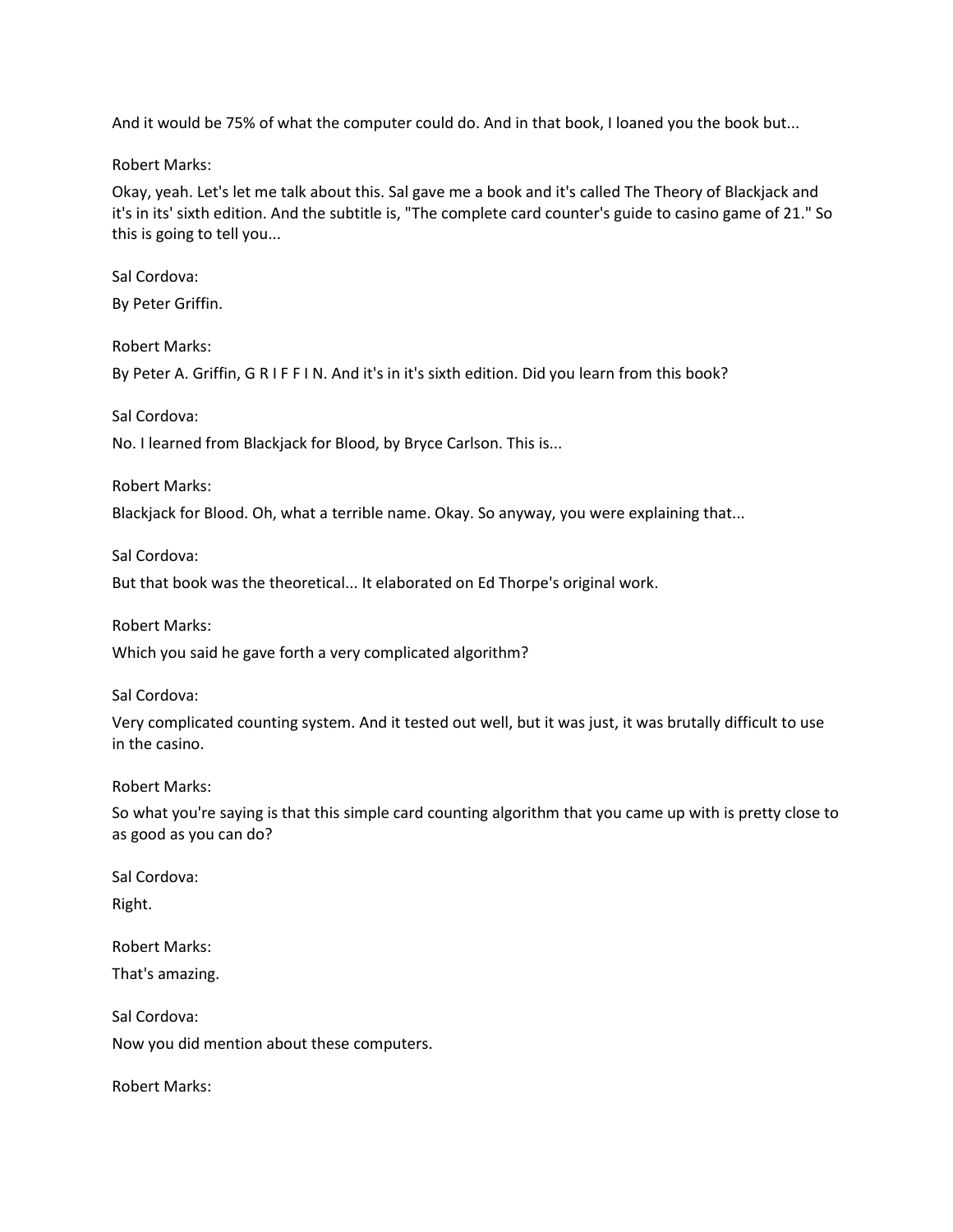And it would be 75% of what the computer could do. And in that book, I loaned you the book but...

Robert Marks:

Okay, yeah. Let's let me talk about this. Sal gave me a book and it's called The Theory of Blackjack and it's in its' sixth edition. And the subtitle is, "The complete card counter's guide to casino game of 21." So this is going to tell you...

Sal Cordova:

By Peter Griffin.

Robert Marks:

By Peter A. Griffin, G R I F F I N. And it's in it's sixth edition. Did you learn from this book?

Sal Cordova:

No. I learned from Blackjack for Blood, by Bryce Carlson. This is...

Robert Marks:

Blackjack for Blood. Oh, what a terrible name. Okay. So anyway, you were explaining that...

Sal Cordova:

But that book was the theoretical... It elaborated on Ed Thorpe's original work.

Robert Marks:

Which you said he gave forth a very complicated algorithm?

Sal Cordova:

Very complicated counting system. And it tested out well, but it was just, it was brutally difficult to use in the casino.

Robert Marks:

So what you're saying is that this simple card counting algorithm that you came up with is pretty close to as good as you can do?

Sal Cordova: Right.

Robert Marks: That's amazing.

Sal Cordova: Now you did mention about these computers.

Robert Marks: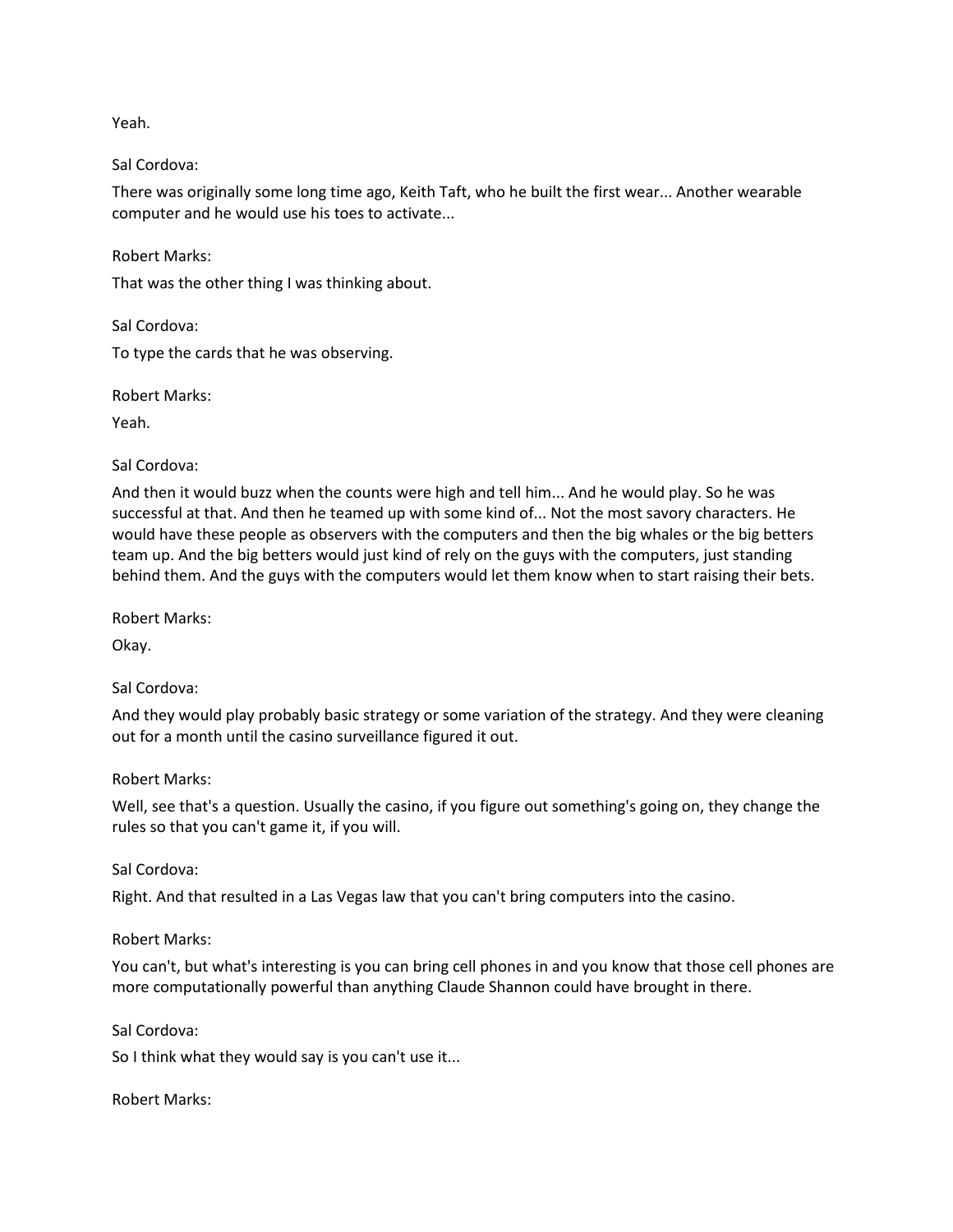Yeah.

#### Sal Cordova:

There was originally some long time ago, Keith Taft, who he built the first wear... Another wearable computer and he would use his toes to activate...

Robert Marks:

That was the other thing I was thinking about.

Sal Cordova:

To type the cards that he was observing.

Robert Marks:

Yeah.

#### Sal Cordova:

And then it would buzz when the counts were high and tell him... And he would play. So he was successful at that. And then he teamed up with some kind of... Not the most savory characters. He would have these people as observers with the computers and then the big whales or the big betters team up. And the big betters would just kind of rely on the guys with the computers, just standing behind them. And the guys with the computers would let them know when to start raising their bets.

Robert Marks:

Okay.

Sal Cordova:

And they would play probably basic strategy or some variation of the strategy. And they were cleaning out for a month until the casino surveillance figured it out.

Robert Marks:

Well, see that's a question. Usually the casino, if you figure out something's going on, they change the rules so that you can't game it, if you will.

Sal Cordova:

Right. And that resulted in a Las Vegas law that you can't bring computers into the casino.

Robert Marks:

You can't, but what's interesting is you can bring cell phones in and you know that those cell phones are more computationally powerful than anything Claude Shannon could have brought in there.

Sal Cordova:

So I think what they would say is you can't use it...

Robert Marks: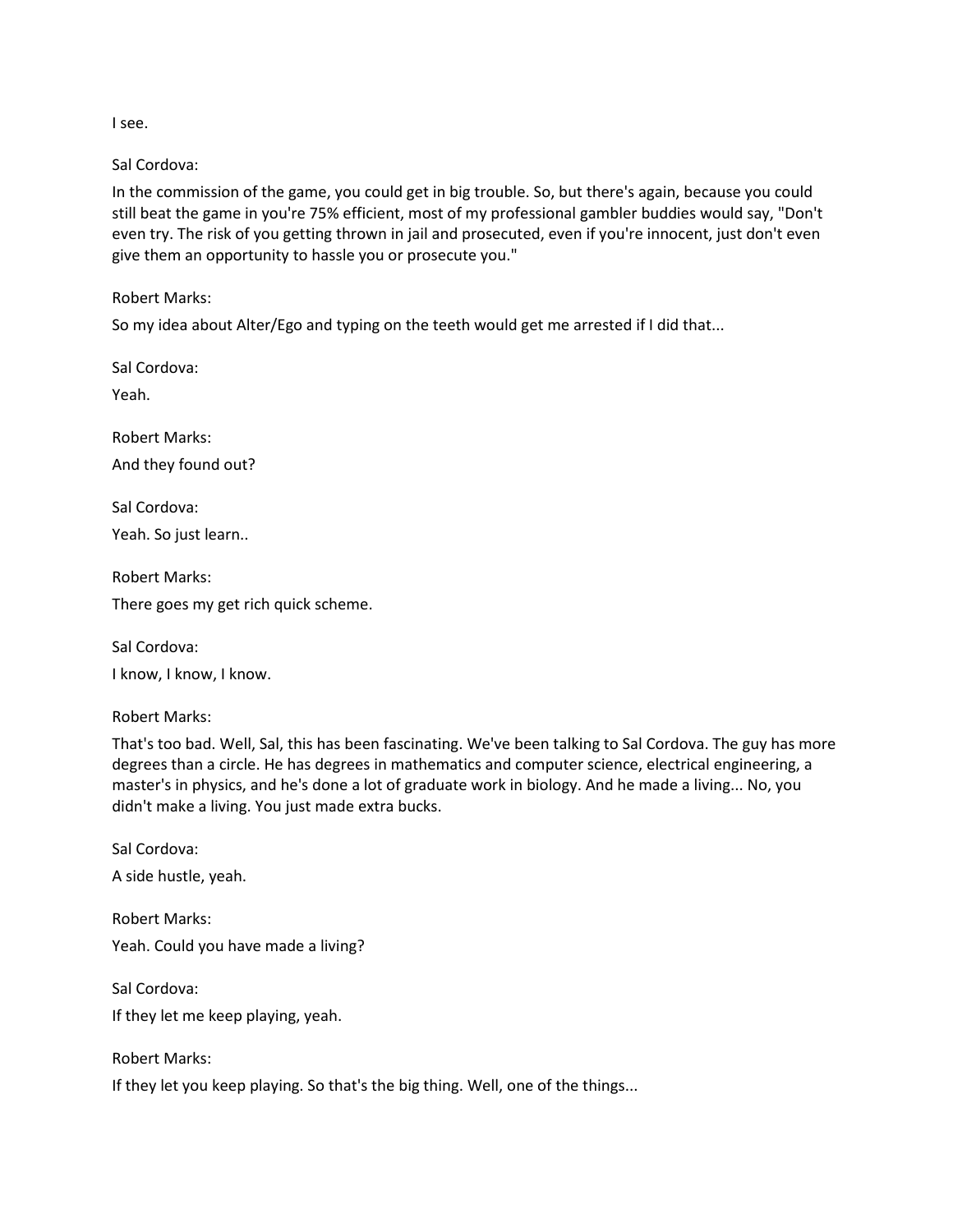I see.

Sal Cordova:

In the commission of the game, you could get in big trouble. So, but there's again, because you could still beat the game in you're 75% efficient, most of my professional gambler buddies would say, "Don't even try. The risk of you getting thrown in jail and prosecuted, even if you're innocent, just don't even give them an opportunity to hassle you or prosecute you."

Robert Marks:

So my idea about Alter/Ego and typing on the teeth would get me arrested if I did that...

Sal Cordova:

Yeah.

Robert Marks: And they found out?

Sal Cordova: Yeah. So just learn..

Robert Marks: There goes my get rich quick scheme.

Sal Cordova: I know, I know, I know.

Robert Marks:

That's too bad. Well, Sal, this has been fascinating. We've been talking to Sal Cordova. The guy has more degrees than a circle. He has degrees in mathematics and computer science, electrical engineering, a master's in physics, and he's done a lot of graduate work in biology. And he made a living... No, you didn't make a living. You just made extra bucks.

Sal Cordova: A side hustle, yeah.

Robert Marks: Yeah. Could you have made a living?

Sal Cordova: If they let me keep playing, yeah.

Robert Marks: If they let you keep playing. So that's the big thing. Well, one of the things...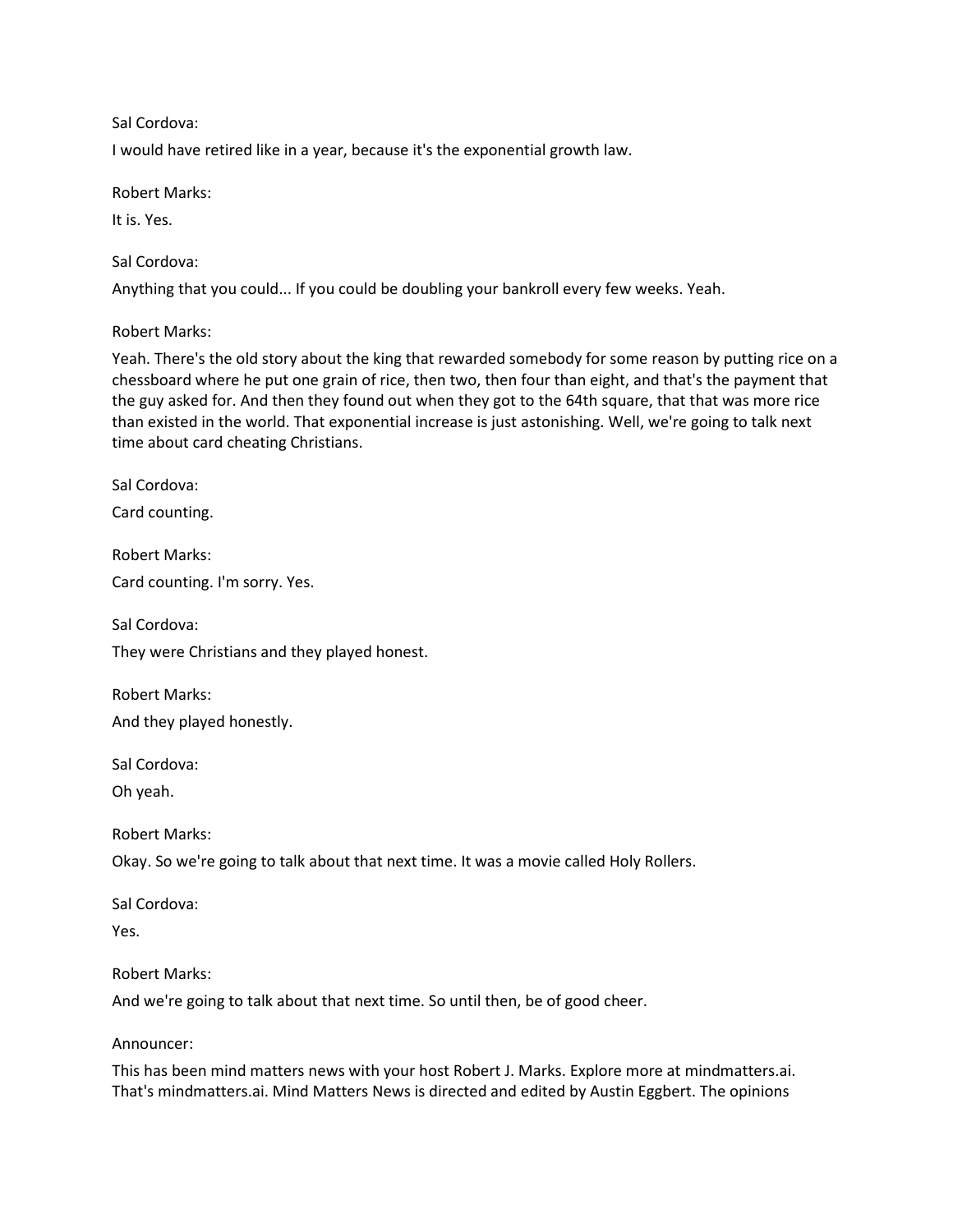I would have retired like in a year, because it's the exponential growth law.

Robert Marks:

It is. Yes.

Sal Cordova:

Anything that you could... If you could be doubling your bankroll every few weeks. Yeah.

Robert Marks:

Yeah. There's the old story about the king that rewarded somebody for some reason by putting rice on a chessboard where he put one grain of rice, then two, then four than eight, and that's the payment that the guy asked for. And then they found out when they got to the 64th square, that that was more rice than existed in the world. That exponential increase is just astonishing. Well, we're going to talk next time about card cheating Christians.

Sal Cordova:

Card counting.

Robert Marks:

Card counting. I'm sorry. Yes.

Sal Cordova: They were Christians and they played honest.

Robert Marks: And they played honestly.

Sal Cordova:

Oh yeah.

Robert Marks:

Okay. So we're going to talk about that next time. It was a movie called Holy Rollers.

Sal Cordova:

Yes.

#### Robert Marks:

And we're going to talk about that next time. So until then, be of good cheer.

Announcer:

This has been mind matters news with your host Robert J. Marks. Explore more at mindmatters.ai. That's mindmatters.ai. Mind Matters News is directed and edited by Austin Eggbert. The opinions